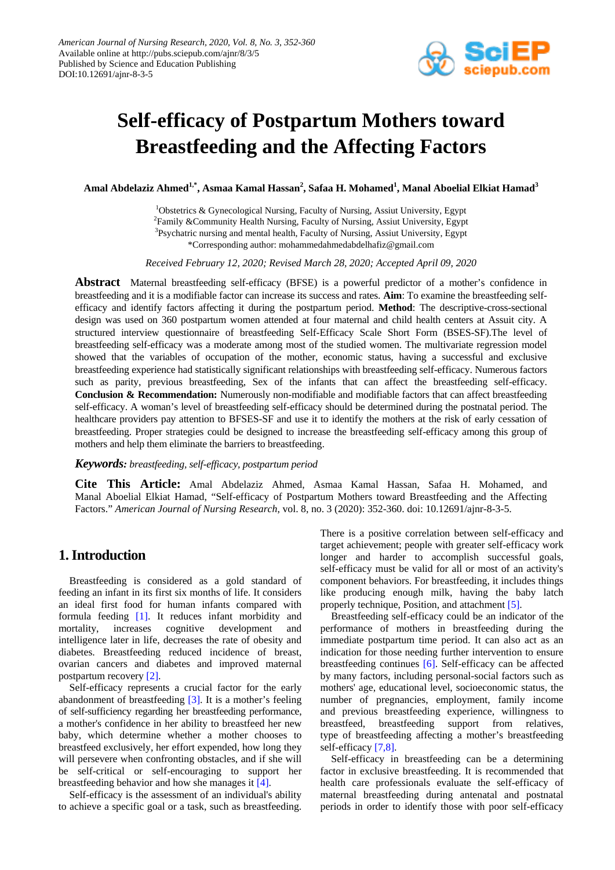

# **Self-efficacy of Postpartum Mothers toward Breastfeeding and the Affecting Factors**

**Amal Abdelaziz Ahmed1,\* , Asmaa Kamal Hassan<sup>2</sup> , Safaa H. Mohamed<sup>1</sup> , Manal Aboelial Elkiat Hamad<sup>3</sup>**

<sup>1</sup>Obstetrics & Gynecological Nursing, Faculty of Nursing, Assiut University, Egypt <sup>2</sup>Family &Community Health Nursing, Faculty of Nursing, Assiut University, Egypt <sup>3</sup>Psychatric nursing and mental health, Faculty of Nursing, Assiut University, Egypt \*Corresponding author: mohammedahmedabdelhafiz@gmail.com

*Received February 12, 2020; Revised March 28, 2020; Accepted April 09, 2020*

**Abstract** Maternal breastfeeding self-efficacy (BFSE) is a powerful predictor of a mother's confidence in breastfeeding and it is a modifiable factor can increase its success and rates. **Aim**: To examine the breastfeeding selfefficacy and identify factors affecting it during the postpartum period. **Method**: The descriptive-cross-sectional design was used on 360 postpartum women attended at four maternal and child health centers at Assuit city. A structured interview questionnaire of breastfeeding Self-Efficacy Scale Short Form (BSES-SF).The level of breastfeeding self-efficacy was a moderate among most of the studied women. The multivariate regression model showed that the variables of occupation of the mother, economic status, having a successful and exclusive breastfeeding experience had statistically significant relationships with breastfeeding self-efficacy. Numerous factors such as parity, previous breastfeeding, Sex of the infants that can affect the breastfeeding self-efficacy. **Conclusion & Recommendation:** Numerously non-modifiable and modifiable factors that can affect breastfeeding self-efficacy. A woman's level of breastfeeding self-efficacy should be determined during the postnatal period. The healthcare providers pay attention to BFSES-SF and use it to identify the mothers at the risk of early cessation of breastfeeding. Proper strategies could be designed to increase the breastfeeding self-efficacy among this group of mothers and help them eliminate the barriers to breastfeeding.

#### *Keywords: breastfeeding, self-efficacy, postpartum period*

**Cite This Article:** Amal Abdelaziz Ahmed, Asmaa Kamal Hassan, Safaa H. Mohamed, and Manal Aboelial Elkiat Hamad, "Self-efficacy of Postpartum Mothers toward Breastfeeding and the Affecting Factors." *American Journal of Nursing Research*, vol. 8, no. 3 (2020): 352-360. doi: 10.12691/ajnr-8-3-5.

## **1. Introduction**

Breastfeeding is considered as a gold standard of feeding an infant in its first six months of life. It considers an ideal first food for human infants compared with formula feeding [\[1\].](#page-7-0) It reduces infant morbidity and mortality, increases cognitive development and intelligence later in life, decreases the rate of obesity and diabetes. Breastfeeding reduced incidence of breast, ovarian cancers and diabetes and improved maternal postpartum recovery [\[2\].](#page-7-1) 

Self-efficacy represents a crucial factor for the early abandonment of breastfeeding [\[3\].](#page-7-2) It is a mother's feeling of self-sufficiency regarding her breastfeeding performance, a mother's confidence in her ability to breastfeed her new baby, which determine whether a mother chooses to breastfeed exclusively, her effort expended, how long they will persevere when confronting obstacles, and if she will be self-critical or self-encouraging to support her breastfeeding behavior and how she manages it [\[4\].](#page-7-3)

Self-efficacy is the assessment of an individual's ability to achieve a specific goal or a task, such as breastfeeding. There is a positive correlation between self-efficacy and target achievement; people with greater self-efficacy work longer and harder to accomplish successful goals, self-efficacy must be valid for all or most of an activity's component behaviors. For breastfeeding, it includes things like producing enough milk, having the baby latch properly technique, Position, and attachment [\[5\].](#page-7-4)

Breastfeeding self-efficacy could be an indicator of the performance of mothers in breastfeeding during the immediate postpartum time period. It can also act as an indication for those needing further intervention to ensure breastfeeding continues [\[6\].](#page-7-5) Self-efficacy can be affected by many factors, including personal-social factors such as mothers' age, educational level, socioeconomic status, the number of pregnancies, employment, family income and previous breastfeeding experience, willingness to breastfeed, breastfeeding support from relatives, type of breastfeeding affecting a mother's breastfeeding self-efficacy [\[7,8\].](#page-7-6)

Self-efficacy in breastfeeding can be a determining factor in exclusive breastfeeding. It is recommended that health care professionals evaluate the self-efficacy of maternal breastfeeding during antenatal and postnatal periods in order to identify those with poor self-efficacy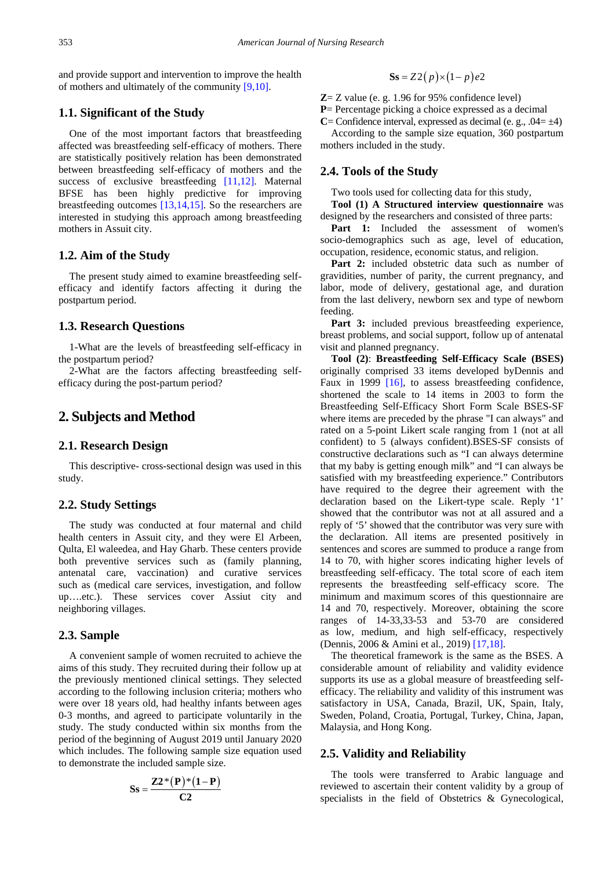and provide support and intervention to improve the health of mothers and ultimately of the community [\[9,10\].](#page-7-7)

## **1.1. Significant of the Study**

One of the most important factors that breastfeeding affected was breastfeeding self-efficacy of mothers. There are statistically positively relation has been demonstrated between breastfeeding self-efficacy of mothers and the success of exclusive breastfeeding [\[11,12\].](#page-7-8) Maternal BFSE has been highly predictive for improving breastfeeding outcomes [\[13,14,15\].](#page-7-9) So the researchers are interested in studying this approach among breastfeeding mothers in Assuit city.

#### **1.2. Aim of the Study**

The present study aimed to examine breastfeeding selfefficacy and identify factors affecting it during the postpartum period.

### **1.3. Research Questions**

1-What are the levels of breastfeeding self-efficacy in the postpartum period?

2-What are the factors affecting breastfeeding selfefficacy during the post-partum period?

# **2. Subjects and Method**

## **2.1. Research Design**

This descriptive- cross-sectional design was used in this study.

#### **2.2. Study Settings**

The study was conducted at four maternal and child health centers in Assuit city, and they were El Arbeen, Qulta, El waleedea, and Hay Gharb. These centers provide both preventive services such as (family planning, antenatal care, vaccination) and curative services such as (medical care services, investigation, and follow up….etc.). These services cover Assiut city and neighboring villages.

#### **2.3. Sample**

A convenient sample of women recruited to achieve the aims of this study. They recruited during their follow up at the previously mentioned clinical settings. They selected according to the following inclusion criteria; mothers who were over 18 years old, had healthy infants between ages 0-3 months, and agreed to participate voluntarily in the study. The study conducted within six months from the period of the beginning of August 2019 until January 2020 which includes. The following sample size equation used to demonstrate the included sample size.

$$
Ss = \frac{Z2*(P)*(1-P)}{C2}
$$

$$
Ss = Z2(p) \times (1-p)e2
$$

**Z**= Z value (e. g. 1.96 for 95% confidence level)

**P**= Percentage picking a choice expressed as a decimal

**C**= Confidence interval, expressed as decimal (e. g.,  $.04 = \pm 4$ ) According to the sample size equation, 360 postpartum mothers included in the study.

#### **2.4. Tools of the Study**

Two tools used for collecting data for this study,

**Tool (1) A Structured interview questionnaire** was designed by the researchers and consisted of three parts:

**Part 1:** Included the assessment of women's socio-demographics such as age, level of education, occupation, residence, economic status, and religion.

Part 2: included obstetric data such as number of gravidities, number of parity, the current pregnancy, and labor, mode of delivery, gestational age, and duration from the last delivery, newborn sex and type of newborn feeding.

Part 3: included previous breastfeeding experience, breast problems, and social support, follow up of antenatal visit and planned pregnancy.

**Tool (2)**: **Breastfeeding Self-Efficacy Scale (BSES)** originally comprised 33 items developed byDennis and Faux in 1999 [\[16\],](#page-7-10) to assess breastfeeding confidence, shortened the scale to 14 items in 2003 to form the Breastfeeding Self-Efficacy Short Form Scale BSES-SF where items are preceded by the phrase "I can always" and rated on a 5-point Likert scale ranging from 1 (not at all confident) to 5 (always confident).BSES-SF consists of constructive declarations such as "I can always determine that my baby is getting enough milk" and "I can always be satisfied with my breastfeeding experience." Contributors have required to the degree their agreement with the declaration based on the Likert-type scale. Reply '1' showed that the contributor was not at all assured and a reply of '5' showed that the contributor was very sure with the declaration. All items are presented positively in sentences and scores are summed to produce a range from 14 to 70, with higher scores indicating higher levels of breastfeeding self-efficacy. The total score of each item represents the breastfeeding self-efficacy score. The minimum and maximum scores of this questionnaire are 14 and 70, respectively. Moreover, obtaining the score ranges of 14-33,33-53 and 53-70 are considered as low, medium, and high self-efficacy, respectively (Dennis, 2006 & Amini et al., 2019) [\[17,18\].](#page-7-11)

The theoretical framework is the same as the BSES. A considerable amount of reliability and validity evidence supports its use as a global measure of breastfeeding selfefficacy. The reliability and validity of this instrument was satisfactory in USA, Canada, Brazil, UK, Spain, Italy, Sweden, Poland, Croatia, Portugal, Turkey, China, Japan, Malaysia, and Hong Kong.

#### **2.5. Validity and Reliability**

The tools were transferred to Arabic language and reviewed to ascertain their content validity by a group of specialists in the field of Obstetrics & Gynecological,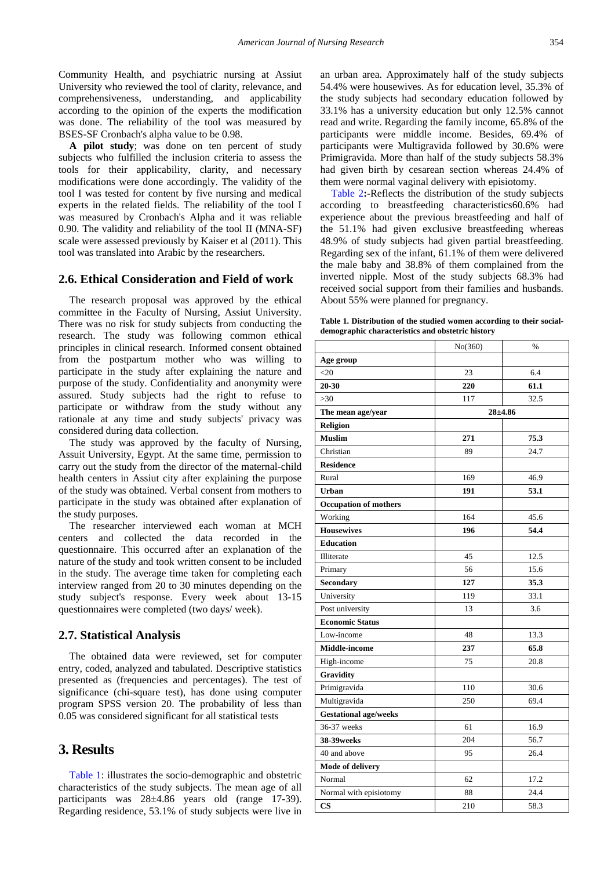Community Health, and psychiatric nursing at Assiut University who reviewed the tool of clarity, relevance, and comprehensiveness, understanding, and applicability according to the opinion of the experts the modification was done. The reliability of the tool was measured by BSES-SF Cronbach's alpha value to be 0.98.

**A pilot study**; was done on ten percent of study subjects who fulfilled the inclusion criteria to assess the tools for their applicability, clarity, and necessary modifications were done accordingly. The validity of the tool I was tested for content by five nursing and medical experts in the related fields. The reliability of the tool I was measured by Cronbach's Alpha and it was reliable 0.90. The validity and reliability of the tool II (MNA-SF) scale were assessed previously by Kaiser et al (2011). This tool was translated into Arabic by the researchers.

#### **2.6. Ethical Consideration and Field of work**

The research proposal was approved by the ethical committee in the Faculty of Nursing, Assiut University. There was no risk for study subjects from conducting the research. The study was following common ethical principles in clinical research. Informed consent obtained from the postpartum mother who was willing to participate in the study after explaining the nature and purpose of the study. Confidentiality and anonymity were assured. Study subjects had the right to refuse to participate or withdraw from the study without any rationale at any time and study subjects' privacy was considered during data collection.

The study was approved by the faculty of Nursing, Assuit University, Egypt. At the same time, permission to carry out the study from the director of the maternal-child health centers in Assiut city after explaining the purpose of the study was obtained. Verbal consent from mothers to participate in the study was obtained after explanation of the study purposes.

The researcher interviewed each woman at MCH centers and collected the data recorded in the questionnaire. This occurred after an explanation of the nature of the study and took written consent to be included in the study. The average time taken for completing each interview ranged from 20 to 30 minutes depending on the study subject's response. Every week about 13-15 questionnaires were completed (two days/ week).

#### **2.7. Statistical Analysis**

The obtained data were reviewed, set for computer entry, coded, analyzed and tabulated. Descriptive statistics presented as (frequencies and percentages). The test of significance (chi-square test), has done using computer program SPSS version 20. The probability of less than 0.05 was considered significant for all statistical tests

## **3. Results**

[Table 1:](#page-2-0) illustrates the socio-demographic and obstetric characteristics of the study subjects. The mean age of all participants was 28±4.86 years old (range 17-39). Regarding residence, 53.1% of study subjects were live in an urban area. Approximately half of the study subjects 54.4% were housewives. As for education level, 35.3% of the study subjects had secondary education followed by 33.1% has a university education but only 12.5% cannot read and write. Regarding the family income, 65.8% of the participants were middle income. Besides, 69.4% of participants were Multigravida followed by 30.6% were Primigravida. More than half of the study subjects 58.3% had given birth by cesarean section whereas 24.4% of them were normal vaginal delivery with episiotomy.

[Table 2](#page-3-0)**:-**Reflects the distribution of the study subjects according to breastfeeding characteristics60.6% had experience about the previous breastfeeding and half of the 51.1% had given exclusive breastfeeding whereas 48.9% of study subjects had given partial breastfeeding. Regarding sex of the infant, 61.1% of them were delivered the male baby and 38.8% of them complained from the inverted nipple. Most of the study subjects 68.3% had received social support from their families and husbands. About 55% were planned for pregnancy.

**Table 1. Distribution of the studied women according to their socialdemographic characteristics and obstetric history**

<span id="page-2-0"></span>

|                              | No(360) | %           |
|------------------------------|---------|-------------|
| Age group                    |         |             |
| $<$ 20                       | 23      | 6.4         |
| 20-30                        | 220     | 61.1        |
| $>30$                        | 117     | 32.5        |
| The mean age/year            |         | $28 + 4.86$ |
| <b>Religion</b>              |         |             |
| <b>Muslim</b>                | 271     | 75.3        |
| Christian                    | 89      | 24.7        |
| <b>Residence</b>             |         |             |
| Rural                        | 169     | 46.9        |
| <b>Urban</b>                 | 191     | 53.1        |
| <b>Occupation of mothers</b> |         |             |
| Working                      | 164     | 45.6        |
| <b>Housewives</b>            | 196     | 54.4        |
| <b>Education</b>             |         |             |
| Illiterate                   | 45      | 12.5        |
| Primary                      | 56      | 15.6        |
| Secondary                    | 127     | 35.3        |
| University                   | 119     | 33.1        |
| Post university              | 13      | 3.6         |
| <b>Economic Status</b>       |         |             |
| Low-income                   | 48      | 13.3        |
| <b>Middle-income</b>         | 237     | 65.8        |
| High-income                  | 75      | 20.8        |
| Gravidity                    |         |             |
| Primigravida                 | 110     | 30.6        |
| Multigravida                 | 250     | 69.4        |
| <b>Gestational age/weeks</b> |         |             |
| 36-37 weeks                  | 61      | 16.9        |
| <b>38-39 weeks</b>           | 204     | 56.7        |
| 40 and above                 | 95      | 26.4        |
| Mode of delivery             |         |             |
| Normal                       | 62      | 17.2        |
| Normal with episiotomy       | 88      | 24.4        |
| CS                           | 210     | 58.3        |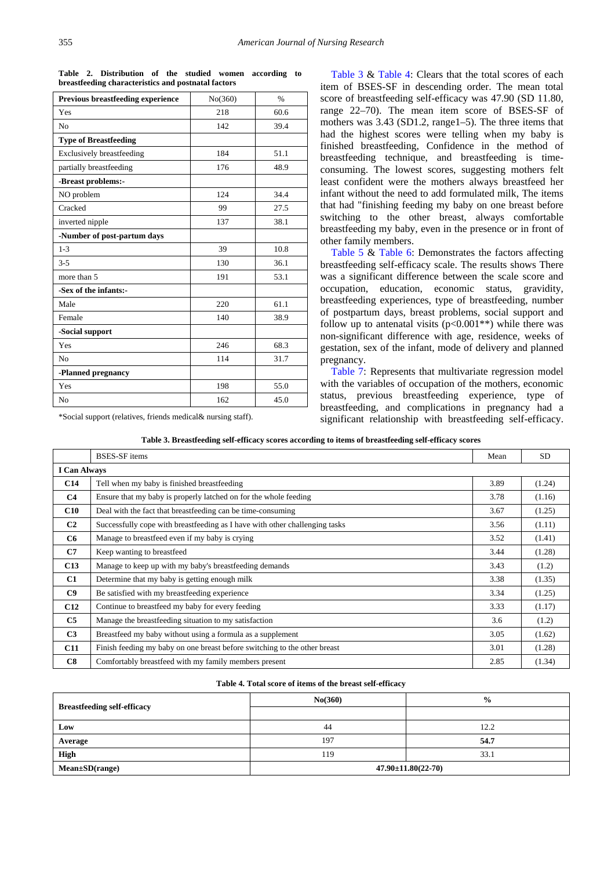<span id="page-3-0"></span>

| <b>Previous breastfeeding experience</b> | No(360) | $\frac{0}{0}$ |
|------------------------------------------|---------|---------------|
| Yes                                      | 218     | 60.6          |
| No                                       | 142     | 39.4          |
| <b>Type of Breastfeeding</b>             |         |               |
| <b>Exclusively breastfeeding</b>         | 184     | 51.1          |
| partially breastfeeding                  | 176     | 48.9          |
| -Breast problems:-                       |         |               |
| NO problem                               | 124     | 34.4          |
| Cracked                                  | 99      | 27.5          |
| inverted nipple                          | 137     | 38.1          |
| -Number of post-partum days              |         |               |
| $1 - 3$                                  | 39      | 10.8          |
| $3 - 5$                                  | 130     | 36.1          |
| more than 5                              | 191     | 53.1          |
| -Sex of the infants:-                    |         |               |
| Male                                     | 220     | 61.1          |
| Female                                   | 140     | 38.9          |
| -Social support                          |         |               |
| Yes                                      | 246     | 68.3          |
| N <sub>0</sub>                           | 114     | 31.7          |
| -Planned pregnancy                       |         |               |
| Yes                                      | 198     | 55.0          |
| No                                       | 162     | 45.0          |

**Table 2. Distribution of the studied women according to breastfeeding characteristics and postnatal factors**

\*Social support (relatives, friends medical& nursing staff).

[Table 3](#page-3-1) & [Table 4:](#page-3-2) Clears that the total scores of each item of BSES-SF in descending order. The mean total score of breastfeeding self-efficacy was 47.90 (SD 11.80, range 22–70). The mean item score of BSES-SF of mothers was 3.43 (SD1.2, range1–5). The three items that had the highest scores were telling when my baby is finished breastfeeding, Confidence in the method of breastfeeding technique, and breastfeeding is timeconsuming. The lowest scores, suggesting mothers felt least confident were the mothers always breastfeed her infant without the need to add formulated milk, The items that had "finishing feeding my baby on one breast before switching to the other breast, always comfortable breastfeeding my baby, even in the presence or in front of other family members.

[Table 5](#page-4-0) & [Table 6:](#page-4-1) Demonstrates the factors affecting breastfeeding self-efficacy scale. The results shows There was a significant difference between the scale score and occupation, education, economic status, gravidity, breastfeeding experiences, type of breastfeeding, number of postpartum days, breast problems, social support and follow up to antenatal visits  $(p<0.001**)$  while there was non-significant difference with age, residence, weeks of gestation, sex of the infant, mode of delivery and planned pregnancy.

[Table 7:](#page-5-0) Represents that multivariate regression model with the variables of occupation of the mothers, economic status, previous breastfeeding experience, type of breastfeeding, and complications in pregnancy had a significant relationship with breastfeeding self-efficacy.

|  |  |  | Table 3. Breastfeeding self-efficacy scores according to items of breastfeeding self-efficacy scores |  |
|--|--|--|------------------------------------------------------------------------------------------------------|--|
|  |  |  |                                                                                                      |  |

<span id="page-3-1"></span>

|                     | <b>BSES-SF</b> items                                                        | Mean | <b>SD</b> |  |  |
|---------------------|-----------------------------------------------------------------------------|------|-----------|--|--|
| <b>I</b> Can Always |                                                                             |      |           |  |  |
| C14                 | Tell when my baby is finished breastfeeding                                 | 3.89 | (1.24)    |  |  |
| C4                  | Ensure that my baby is properly latched on for the whole feeding            | 3.78 | (1.16)    |  |  |
| C10                 | Deal with the fact that breastfeeding can be time-consuming                 | 3.67 | (1.25)    |  |  |
| C <sub>2</sub>      | Successfully cope with breastfeeding as I have with other challenging tasks | 3.56 | (1.11)    |  |  |
| C <sub>6</sub>      | Manage to breastfeed even if my baby is crying                              | 3.52 | (1.41)    |  |  |
| C <sub>7</sub>      | Keep wanting to breastfeed                                                  | 3.44 | (1.28)    |  |  |
| C13                 | Manage to keep up with my baby's breastfeeding demands                      | 3.43 | (1.2)     |  |  |
| C <sub>1</sub>      | Determine that my baby is getting enough milk                               | 3.38 | (1.35)    |  |  |
| C9                  | Be satisfied with my breastfeeding experience                               | 3.34 | (1.25)    |  |  |
| C12                 | Continue to breastfeed my baby for every feeding                            | 3.33 | (1.17)    |  |  |
| C <sub>5</sub>      | Manage the breastfeeding situation to my satisfaction                       | 3.6  | (1.2)     |  |  |
| C <sub>3</sub>      | Breastfeed my baby without using a formula as a supplement                  | 3.05 | (1.62)    |  |  |
| <b>C11</b>          | Finish feeding my baby on one breast before switching to the other breast   | 3.01 | (1.28)    |  |  |
| C8                  | Comfortably breastfeed with my family members present                       | 2.85 | (1.34)    |  |  |

#### **Table 4. Total score of items of the breast self-efficacy**

<span id="page-3-2"></span>

| <b>Breastfeeding self-efficacy</b> | No(360)                    | $\frac{0}{0}$ |  |  |
|------------------------------------|----------------------------|---------------|--|--|
|                                    |                            |               |  |  |
| Low                                | 44                         | 12.2          |  |  |
| Average                            | 197                        | 54.7          |  |  |
| <b>High</b>                        | 119                        | 33.1          |  |  |
| $Mean \pm SD(range)$               | $47.90 \pm 11.80(22 - 70)$ |               |  |  |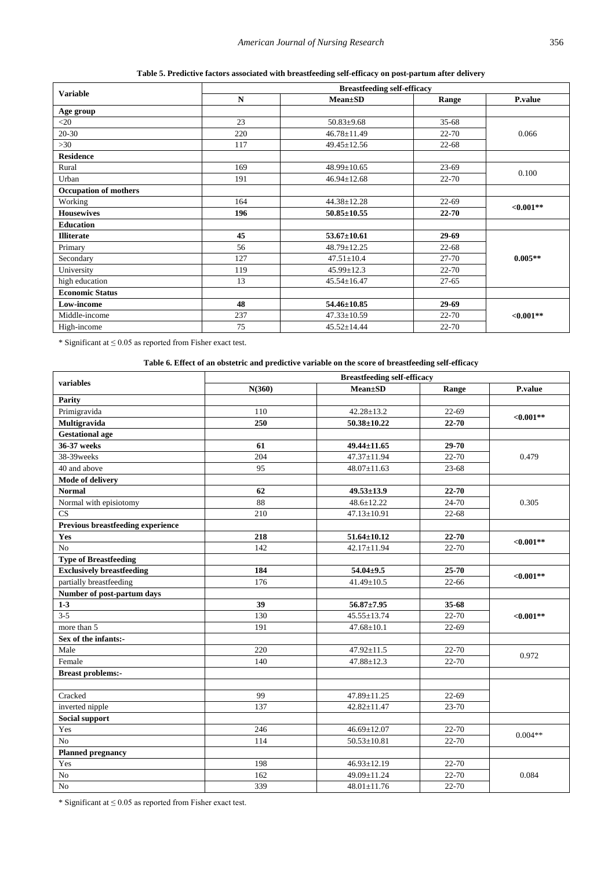|  |  | Table 5. Predictive factors associated with breastfeeding self-efficacy on post-partum after delivery |  |  |  |  |  |
|--|--|-------------------------------------------------------------------------------------------------------|--|--|--|--|--|
|  |  |                                                                                                       |  |  |  |  |  |

<span id="page-4-0"></span>

|                              | <b>Breastfeeding self-efficacy</b> |                   |           |                |  |  |  |  |
|------------------------------|------------------------------------|-------------------|-----------|----------------|--|--|--|--|
| <b>Variable</b>              | $\mathbf N$                        | <b>Mean±SD</b>    | Range     | <b>P.value</b> |  |  |  |  |
| Age group                    |                                    |                   |           |                |  |  |  |  |
| $<$ 20                       | 23                                 | $50.83 \pm 9.68$  | $35 - 68$ |                |  |  |  |  |
| $20 - 30$                    | 220                                | $46.78 \pm 11.49$ | 22-70     | 0.066          |  |  |  |  |
| >30                          | 117                                | $49.45 \pm 12.56$ | $22 - 68$ |                |  |  |  |  |
| <b>Residence</b>             |                                    |                   |           |                |  |  |  |  |
| Rural                        | 169                                | $48.99 \pm 10.65$ | $23-69$   |                |  |  |  |  |
| Urban                        | 191                                | $46.94 \pm 12.68$ | $22 - 70$ | 0.100          |  |  |  |  |
| <b>Occupation of mothers</b> |                                    |                   |           |                |  |  |  |  |
| Working                      | 164                                | $44.38 \pm 12.28$ | $22 - 69$ |                |  |  |  |  |
| <b>Housewives</b>            | 196                                | $50.85 \pm 10.55$ | $22 - 70$ | $<0.001**$     |  |  |  |  |
| <b>Education</b>             |                                    |                   |           |                |  |  |  |  |
| <b>Illiterate</b>            | 45                                 | $53.67 \pm 10.61$ | 29-69     |                |  |  |  |  |
| Primary                      | 56                                 | 48.79±12.25       | $22 - 68$ |                |  |  |  |  |
| Secondary                    | 127                                | $47.51 \pm 10.4$  | $27 - 70$ | $0.005**$      |  |  |  |  |
| University                   | 119                                | $45.99 \pm 12.3$  | 22-70     |                |  |  |  |  |
| high education               | 13                                 | $45.54 \pm 16.47$ | $27 - 65$ |                |  |  |  |  |
| <b>Economic Status</b>       |                                    |                   |           |                |  |  |  |  |
| Low-income                   | 48                                 | $54.46 \pm 10.85$ | 29-69     |                |  |  |  |  |
| Middle-income                | 237                                | $47.33 \pm 10.59$ | 22-70     | ${<}0.001**$   |  |  |  |  |
| High-income                  | 75                                 | $45.52 \pm 14.44$ | 22-70     |                |  |  |  |  |

 $^*$  Significant at  $\leq 0.05$  as reported from Fisher exact test.

**Table 6. Effect of an obstetric and predictive variable on the score of breastfeeding self-efficacy** 

<span id="page-4-1"></span>

|                                   |        | <b>Breastfeeding self-efficacy</b> |           |              |  |
|-----------------------------------|--------|------------------------------------|-----------|--------------|--|
| variables                         | N(360) | $Mean \pm SD$                      | Range     | P.value      |  |
| Parity                            |        |                                    |           |              |  |
| Primigravida                      | 110    | $42.28 \pm 13.2$                   | $22 - 69$ | ${<}0.001**$ |  |
| Multigravida                      | 250    | $50.38 \pm 10.22$                  | 22-70     |              |  |
| <b>Gestational age</b>            |        |                                    |           |              |  |
| 36-37 weeks                       | 61     | 49.44±11.65                        | 29-70     |              |  |
| 38-39weeks                        | 204    | $47.37 \pm 11.94$                  | 22-70     | 0.479        |  |
| 40 and above                      | 95     | $48.07 \pm 11.63$                  | 23-68     |              |  |
| Mode of delivery                  |        |                                    |           |              |  |
| <b>Normal</b>                     | 62     | $49.53 \pm 13.9$                   | 22-70     |              |  |
| Normal with episiotomy            | 88     | 48.6±12.22                         | 24-70     | 0.305        |  |
| CS                                | 210    | 47.13±10.91                        | $22 - 68$ |              |  |
| Previous breastfeeding experience |        |                                    |           |              |  |
| Yes                               | 218    | $51.64 \pm 10.12$                  | 22-70     | ${<}0.001**$ |  |
| No                                | 142    | 42.17±11.94                        | 22-70     |              |  |
| <b>Type of Breastfeeding</b>      |        |                                    |           |              |  |
| <b>Exclusively breastfeeding</b>  | 184    | $54.04 \pm 9.5$                    | 25-70     | $<0.001**$   |  |
| partially breastfeeding           | 176    | $41.49 \pm 10.5$                   | $22 - 66$ |              |  |
| Number of post-partum days        |        |                                    |           |              |  |
| $1-3$                             | 39     | $56.87 \pm 7.95$                   | 35-68     |              |  |
| $3 - 5$                           | 130    | 45.55±13.74                        | 22-70     | $<0.001**$   |  |
| more than 5                       | 191    | $47.68 \pm 10.1$                   | 22-69     |              |  |
| Sex of the infants:-              |        |                                    |           |              |  |
| Male                              | 220    | 47.92±11.5                         | 22-70     | 0.972        |  |
| Female                            | 140    | $\overline{47.88}$ ±12.3           | 22-70     |              |  |
| <b>Breast problems:-</b>          |        |                                    |           |              |  |
|                                   |        |                                    |           |              |  |
| Cracked                           | 99     | 47.89±11.25                        | $22-69$   |              |  |
| inverted nipple                   | 137    | 42.82±11.47                        | 23-70     |              |  |
| <b>Social support</b>             |        |                                    |           |              |  |
| Yes                               | 246    | $46.69 \pm 12.07$                  | 22-70     | $0.004**$    |  |
| N <sub>o</sub>                    | 114    | $\overline{50.53}$ ±10.81          | 22-70     |              |  |
| <b>Planned pregnancy</b>          |        |                                    |           |              |  |
| Yes                               | 198    | 46.93±12.19                        | 22-70     |              |  |
| No                                | 162    | 49.09±11.24                        | 22-70     | 0.084        |  |
| N <sub>o</sub>                    | 339    | 48.01±11.76                        | 22-70     |              |  |

 $*$  Significant at  $\leq 0.05$  as reported from Fisher exact test.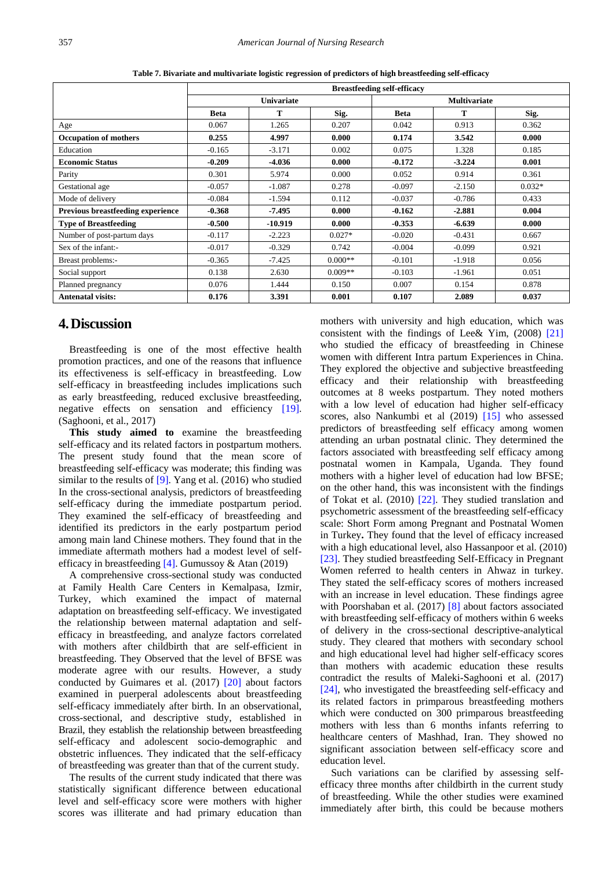<span id="page-5-0"></span>

|                                          | <b>Breastfeeding self-efficacy</b> |           |           |             |          |          |  |
|------------------------------------------|------------------------------------|-----------|-----------|-------------|----------|----------|--|
|                                          | <b>Univariate</b>                  |           |           |             |          |          |  |
|                                          | <b>Beta</b>                        | т         | Sig.      | <b>Beta</b> | Т        | Sig.     |  |
| Age                                      | 0.067                              | 1.265     | 0.207     | 0.042       | 0.913    | 0.362    |  |
| <b>Occupation of mothers</b>             | 0.255                              | 4.997     | 0.000     | 0.174       | 3.542    | 0.000    |  |
| Education                                | $-0.165$                           | $-3.171$  | 0.002     | 0.075       | 1.328    | 0.185    |  |
| <b>Economic Status</b>                   | $-0.209$                           | $-4.036$  | 0.000     | $-0.172$    | $-3,224$ | 0.001    |  |
| Parity                                   | 0.301                              | 5.974     | 0.000     | 0.052       | 0.914    | 0.361    |  |
| Gestational age                          | $-0.057$                           | $-1.087$  | 0.278     | $-0.097$    | $-2.150$ | $0.032*$ |  |
| Mode of delivery                         | $-0.084$                           | $-1.594$  | 0.112     | $-0.037$    | $-0.786$ | 0.433    |  |
| <b>Previous breastfeeding experience</b> | $-0.368$                           | $-7.495$  | 0.000     | $-0.162$    | $-2.881$ | 0.004    |  |
| <b>Type of Breastfeeding</b>             | $-0.500$                           | $-10.919$ | 0.000     | $-0.353$    | $-6.639$ | 0.000    |  |
| Number of post-partum days               | $-0.117$                           | $-2.223$  | $0.027*$  | $-0.020$    | $-0.431$ | 0.667    |  |
| Sex of the infant:-                      | $-0.017$                           | $-0.329$  | 0.742     | $-0.004$    | $-0.099$ | 0.921    |  |
| Breast problems:-                        | $-0.365$                           | $-7.425$  | $0.000**$ | $-0.101$    | $-1.918$ | 0.056    |  |
| Social support                           | 0.138                              | 2.630     | $0.009**$ | $-0.103$    | $-1.961$ | 0.051    |  |
| Planned pregnancy                        | 0.076                              | 1.444     | 0.150     | 0.007       | 0.154    | 0.878    |  |
| <b>Antenatal visits:</b>                 | 0.176                              | 3.391     | 0.001     | 0.107       | 2.089    | 0.037    |  |

**Table 7. Bivariate and multivariate logistic regression of predictors of high breastfeeding self-efficacy**

# **4.Discussion**

Breastfeeding is one of the most effective health promotion practices, and one of the reasons that influence its effectiveness is self-efficacy in breastfeeding. Low self-efficacy in breastfeeding includes implications such as early breastfeeding, reduced exclusive breastfeeding, negative effects on sensation and efficiency [\[19\].](#page-7-12) (Saghooni, et al., 2017)

**This study aimed to** examine the breastfeeding self-efficacy and its related factors in postpartum mothers. The present study found that the mean score of breastfeeding self-efficacy was moderate; this finding was similar to the results of [\[9\].](#page-7-7) Yang et al. (2016) who studied In the cross-sectional analysis, predictors of breastfeeding self-efficacy during the immediate postpartum period. They examined the self-efficacy of breastfeeding and identified its predictors in the early postpartum period among main land Chinese mothers. They found that in the immediate aftermath mothers had a modest level of selfefficacy in breastfeeding [\[4\].](#page-7-3) Gumussoy & Atan (2019)

A comprehensive cross-sectional study was conducted at Family Health Care Centers in Kemalpasa, Izmir, Turkey, which examined the impact of maternal adaptation on breastfeeding self-efficacy. We investigated the relationship between maternal adaptation and selfefficacy in breastfeeding, and analyze factors correlated with mothers after childbirth that are self-efficient in breastfeeding. They Observed that the level of BFSE was moderate agree with our results. However, a study conducted by Guimares et al. (2017) [\[20\]](#page-7-13) about factors examined in puerperal adolescents about breastfeeding self-efficacy immediately after birth. In an observational, cross-sectional, and descriptive study, established in Brazil, they establish the relationship between breastfeeding self-efficacy and adolescent socio-demographic and obstetric influences. They indicated that the self-efficacy of breastfeeding was greater than that of the current study.

The results of the current study indicated that there was statistically significant difference between educational level and self-efficacy score were mothers with higher scores was illiterate and had primary education than mothers with university and high education, which was consistent with the findings of Lee& Yim, (2008) [\[21\]](#page-7-14) who studied the efficacy of breastfeeding in Chinese women with different Intra partum Experiences in China. They explored the objective and subjective breastfeeding efficacy and their relationship with breastfeeding outcomes at 8 weeks postpartum. They noted mothers with a low level of education had higher self-efficacy scores, also Nankumbi et al (2019) [\[15\]](#page-7-15) who assessed predictors of breastfeeding self efficacy among women attending an urban postnatal clinic. They determined the factors associated with breastfeeding self efficacy among postnatal women in Kampala, Uganda. They found mothers with a higher level of education had low BFSE; on the other hand, this was inconsistent with the findings of Tokat et al. (2010) [\[22\].](#page-7-16) They studied translation and psychometric assessment of the breastfeeding self-efficacy scale: Short Form among Pregnant and Postnatal Women in Turkey**.** They found that the level of efficacy increased with a high educational level, also Hassanpoor et al. (2010) [\[23\].](#page-7-17) They studied breastfeeding Self-Efficacy in Pregnant Women referred to health centers in Ahwaz in turkey. They stated the self-efficacy scores of mothers increased with an increase in level education. These findings agree with Poorshaban et al. (2017) [\[8\]](#page-7-18) about factors associated with breastfeeding self-efficacy of mothers within 6 weeks of delivery in the cross-sectional descriptive-analytical study. They cleared that mothers with secondary school and high educational level had higher self-efficacy scores than mothers with academic education these results contradict the results of Maleki-Saghooni et al. (2017) [\[24\],](#page-7-19) who investigated the breastfeeding self-efficacy and its related factors in primparous breastfeeding mothers which were conducted on 300 primparous breastfeeding mothers with less than 6 months infants referring to healthcare centers of Mashhad, Iran. They showed no significant association between self-efficacy score and education level.

Such variations can be clarified by assessing selfefficacy three months after childbirth in the current study of breastfeeding. While the other studies were examined immediately after birth, this could be because mothers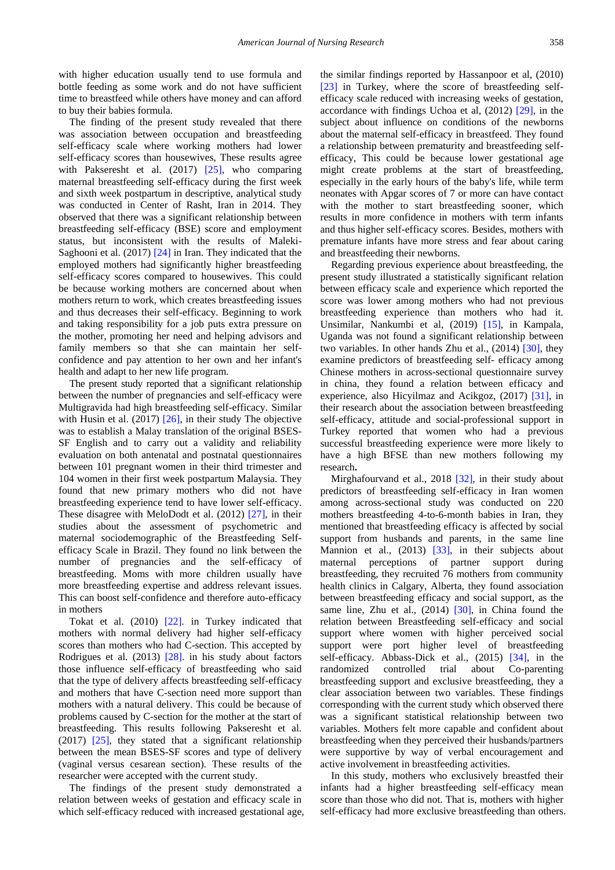with higher education usually tend to use formula and bottle feeding as some work and do not have sufficient time to breastfeed while others have money and can afford to buy their babies formula.

The finding of the present study revealed that there was association between occupation and breastfeeding self-efficacy scale where working mothers had lower self-efficacy scores than housewives, These results agree with Pakseresht et al. (2017) [\[25\],](#page-7-20) who comparing maternal breastfeeding self-efficacy during the first week and sixth week postpartum in descriptive, analytical study was conducted in Center of Rasht, Iran in 2014. They observed that there was a significant relationship between breastfeeding self-efficacy (BSE) score and employment status, but inconsistent with the results of Maleki-Saghooni et al. (2017[\) \[24\]](#page-7-19) in Iran. They indicated that the employed mothers had significantly higher breastfeeding self-efficacy scores compared to housewives. This could be because working mothers are concerned about when mothers return to work, which creates breastfeeding issues and thus decreases their self-efficacy. Beginning to work and taking responsibility for a job puts extra pressure on the mother, promoting her need and helping advisors and family members so that she can maintain her selfconfidence and pay attention to her own and her infant's health and adapt to her new life program.

The present study reported that a significant relationship between the number of pregnancies and self-efficacy were Multigravida had high breastfeeding self-efficacy. Similar with Husin et al. (2017) [\[26\],](#page-7-21) in their study The objective was to establish a Malay translation of the original BSES-SF English and to carry out a validity and reliability evaluation on both antenatal and postnatal questionnaires between 101 pregnant women in their third trimester and 104 women in their first week postpartum Malaysia. They found that new primary mothers who did not have breastfeeding experience tend to have lower self-efficacy. These disagree with MeloDodt et al. (2012) [\[27\],](#page-7-22) in their studies about the assessment of psychometric and maternal sociodemographic of the Breastfeeding Selfefficacy Scale in Brazil. They found no link between the number of pregnancies and the self-efficacy of breastfeeding. Moms with more children usually have more breastfeeding expertise and address relevant issues. This can boost self-confidence and therefore auto-efficacy in mothers

Tokat et al. (2010) [\[22\].](#page-7-16) in Turkey indicated that mothers with normal delivery had higher self-efficacy scores than mothers who had C-section. This accepted by Rodrigues et al. (2013) [\[28\].](#page-8-0) in his study about factors those influence self-efficacy of breastfeeding who said that the type of delivery affects breastfeeding self-efficacy and mothers that have C-section need more support than mothers with a natural delivery. This could be because of problems caused by C-section for the mother at the start of breastfeeding. This results following Pakseresht et al. (2017) [\[25\],](#page-7-20) they stated that a significant relationship between the mean BSES-SF scores and type of delivery (vaginal versus cesarean section). These results of the researcher were accepted with the current study.

The findings of the present study demonstrated a relation between weeks of gestation and efficacy scale in which self-efficacy reduced with increased gestational age, the similar findings reported by Hassanpoor et al, (2010) [\[23\]](#page-7-17) in Turkey, where the score of breastfeeding selfefficacy scale reduced with increasing weeks of gestation, accordance with findings Uchoa et al, (2012) [\[29\],](#page-8-1) in the subject about influence on conditions of the newborns about the maternal self-efficacy in breastfeed. They found a relationship between prematurity and breastfeeding selfefficacy, This could be because lower gestational age might create problems at the start of breastfeeding, especially in the early hours of the baby's life, while term neonates with Apgar scores of 7 or more can have contact with the mother to start breastfeeding sooner, which results in more confidence in mothers with term infants and thus higher self-efficacy scores. Besides, mothers with premature infants have more stress and fear about caring and breastfeeding their newborns.

Regarding previous experience about breastfeeding, the present study illustrated a statistically significant relation between efficacy scale and experience which reported the score was lower among mothers who had not previous breastfeeding experience than mothers who had it. Unsimilar, Nankumbi et al, (2019) [\[15\],](#page-7-15) in Kampala, Uganda was not found a significant relationship between two variables. In other hands Zhu et al., (2014) [\[30\],](#page-8-2) they examine predictors of breastfeeding self- efficacy among Chinese mothers in across-sectional questionnaire survey in china, they found a relation between efficacy and experience, also Hicyilmaz and Acikgoz, (2017) [\[31\],](#page-8-3) in their research about the association between breastfeeding self-efficacy, attitude and social-professional support in Turkey reported that women who had a previous successful breastfeeding experience were more likely to have a high BFSE than new mothers following my research**.**

Mirghafourvand et al., 2018 [\[32\],](#page-8-4) in their study about predictors of breastfeeding self-efficacy in Iran women among across-sectional study was conducted on 220 mothers breastfeeding 4-to-6-month babies in Iran, they mentioned that breastfeeding efficacy is affected by social support from husbands and parents, in the same line Mannion et al., (2013) [\[33\],](#page-8-5) in their subjects about maternal perceptions of partner support during breastfeeding, they recruited 76 mothers from community health clinics in Calgary, Alberta, they found association between breastfeeding efficacy and social support, as the same line, Zhu et al., (2014) [\[30\],](#page-8-2) in China found the relation between Breastfeeding self-efficacy and social support where women with higher perceived social support were port higher level of breastfeeding self-efficacy. Abbass-Dick et al., (2015) [\[34\],](#page-8-6) in the randomized controlled trial about Co-parenting breastfeeding support and exclusive breastfeeding, they a clear association between two variables. These findings corresponding with the current study which observed there was a significant statistical relationship between two variables. Mothers felt more capable and confident about breastfeeding when they perceived their husbands/partners were supportive by way of verbal encouragement and active involvement in breastfeeding activities.

In this study, mothers who exclusively breastfed their infants had a higher breastfeeding self-efficacy mean score than those who did not. That is, mothers with higher self-efficacy had more exclusive breastfeeding than others.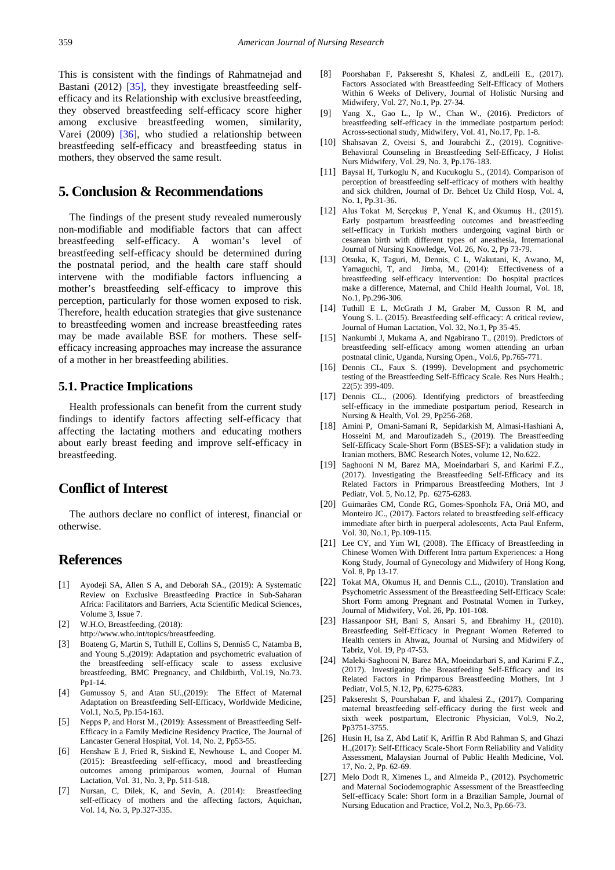This is consistent with the findings of Rahmatnejad and Bastani (2012) [\[35\],](#page-8-7) they investigate breastfeeding selfefficacy and its Relationship with exclusive breastfeeding, they observed breastfeeding self-efficacy score higher among exclusive breastfeeding women, similarity, Varei (2009) [\[36\],](#page-8-8) who studied a relationship between breastfeeding self-efficacy and breastfeeding status in mothers, they observed the same result.

# **5. Conclusion & Recommendations**

The findings of the present study revealed numerously non-modifiable and modifiable factors that can affect breastfeeding self-efficacy. A woman's level of breastfeeding self-efficacy should be determined during the postnatal period, and the health care staff should intervene with the modifiable factors influencing a mother's breastfeeding self-efficacy to improve this perception, particularly for those women exposed to risk. Therefore, health education strategies that give sustenance to breastfeeding women and increase breastfeeding rates may be made available BSE for mothers. These selfefficacy increasing approaches may increase the assurance of a mother in her breastfeeding abilities.

## **5.1. Practice Implications**

Health professionals can benefit from the current study findings to identify factors affecting self-efficacy that affecting the lactating mothers and educating mothers about early breast feeding and improve self-efficacy in breastfeeding.

# **Conflict of Interest**

The authors declare no conflict of interest, financial or otherwise.

# **References**

- <span id="page-7-0"></span>[1] Ayodeji SA, Allen S A, and Deborah SA., (2019): A Systematic Review on Exclusive Breastfeeding Practice in Sub-Saharan Africa: Facilitators and Barriers, Acta Scientific Medical Sciences, Volume 3, Issue 7.
- <span id="page-7-1"></span>[2] W.H.O, Breastfeeding, (2018):
- http://www.who.int/topics/breastfeeding.
- <span id="page-7-2"></span>[3] Boateng G, Martin S, Tuthill E, Collins S, Dennis5 C, Natamba B, and Young S.,(2019): Adaptation and psychometric evaluation of the breastfeeding self-efficacy scale to assess exclusive breastfeeding, BMC Pregnancy, and Childbirth, Vol.19, No.73. Pp1-14.
- <span id="page-7-3"></span>[4] Gumussoy S, and Atan SU.,(2019): The Effect of Maternal Adaptation on Breastfeeding Self-Efficacy, Worldwide Medicine, Vol.1, No.5, Pp.154-163.
- <span id="page-7-4"></span>[5] Nepps P, and Horst M., (2019): Assessment of Breastfeeding Self-Efficacy in a Family Medicine Residency Practice, The Journal of Lancaster General Hospital, Vol. 14, No. 2, Pp53-55.
- <span id="page-7-5"></span>[6] Henshaw E J, Fried R, Siskind E, Newhouse L, and Cooper M. (2015): Breastfeeding self-efficacy, mood and breastfeeding outcomes among primiparous women, Journal of Human Lactation, Vol. 31, No. 3, Pp. 511-518.
- <span id="page-7-6"></span>[7] Nursan, C, Dilek, K, and Sevin, A. (2014): Breastfeeding self-efficacy of mothers and the affecting factors, Aquichan, Vol. 14, No. 3, Pp.327-335.
- <span id="page-7-18"></span>[8] Poorshaban F, Pakseresht S, Khalesi Z, andLeili E., (2017). Factors Associated with Breastfeeding Self-Efficacy of Mothers Within 6 Weeks of Delivery, Journal of Holistic Nursing and Midwifery, Vol. 27, No.1, Pp. 27-34.
- <span id="page-7-7"></span>Yang X., Gao L., Ip W., Chan W., (2016). Predictors of breastfeeding self-efficacy in the immediate postpartum period: Across-sectional study, Midwifery, Vol. 41, No.17, Pp. 1-8.
- [10] Shahsavan Z, Oveisi S, and Jourabchi Z., (2019). Cognitive-Behavioral Counseling in Breastfeeding Self-Efficacy, J Holist Nurs Midwifery, Vol. 29, No. 3, Pp.176-183.
- <span id="page-7-8"></span>[11] Baysal H, Turkoglu N, and Kucukoglu S., (2014). Comparison of perception of breastfeeding self-efficacy of mothers with healthy and sick children, Journal of Dr. Behcet Uz Child Hosp, Vol. 4, No. 1, Pp.31-36.
- [12] Alus Tokat M, Serçekuş P, Yenal K, and Okumuş H., (2015). Early postpartum breastfeeding outcomes and breastfeeding self-efficacy in Turkish mothers undergoing vaginal birth or cesarean birth with different types of anesthesia, International Journal of Nursing Knowledge, Vol. 26, No. 2, Pp 73-79.
- <span id="page-7-9"></span>[13] Otsuka, K, Taguri, M, Dennis, C L, Wakutani, K, Awano, M, Yamaguchi, T, and Jimba, M., (2014): Effectiveness of a breastfeeding self‐efficacy intervention: Do hospital practices make a difference, Maternal, and Child Health Journal, Vol. 18, No.1, Pp.296-306.
- [14] Tuthill E L, McGrath J M, Graber M, Cusson R M, and Young S. L. (2015). Breastfeeding self-efficacy: A critical review, Journal of Human Lactation, Vol. 32, No.1, Pp 35-45.
- <span id="page-7-15"></span>[15] Nankumbi J, Mukama A, and Ngabirano T., (2019). Predictors of breastfeeding self-efficacy among women attending an urban postnatal clinic, Uganda, Nursing Open., Vol.6, Pp.765-771.
- <span id="page-7-10"></span>[16] Dennis CL, Faux S. (1999). Development and psychometric testing of the Breastfeeding Self-Efficacy Scale. Res Nurs Health.;  $22(5)$ : 399-409.
- <span id="page-7-11"></span>[17] Dennis CL., (2006). Identifying predictors of breastfeeding self-efficacy in the immediate postpartum period, Research in Nursing & Health, Vol. 29, Pp256-268.
- [18] Amini P, Omani-Samani R, Sepidarkish M, Almasi-Hashiani A, Hosseini M, and Maroufizadeh S., (2019). The Breastfeeding Self-Efficacy Scale-Short Form (BSES-SF): a validation study in Iranian mothers, BMC Research Notes, volume 12, No.622.
- <span id="page-7-12"></span>[19] Saghooni N M, Barez MA, Moeindarbari S, and Karimi F.Z., (2017). Investigating the Breastfeeding Self-Efficacy and its Related Factors in Primparous Breastfeeding Mothers, Int J Pediatr, Vol. 5, No.12, Pp. 6275-6283.
- <span id="page-7-13"></span>[20] Guimarães CM, Conde RG, Gomes-Sponholz FA, Oriá MO, and Monteiro JC., (2017). Factors related to breastfeeding self-efficacy immediate after birth in puerperal adolescents, Acta Paul Enferm, Vol. 30, No.1, Pp.109-115.
- <span id="page-7-14"></span>[21] Lee CY, and Yim WI, (2008). The Efficacy of Breastfeeding in Chinese Women With Different Intra partum Experiences: a Hong Kong Study, Journal of Gynecology and Midwifery of Hong Kong, Vol. 8, Pp 13-17.
- <span id="page-7-16"></span>[22] Tokat MA, Okumus H, and Dennis C.L., (2010). Translation and Psychometric Assessment of the Breastfeeding Self-Efficacy Scale: Short Form among Pregnant and Postnatal Women in Turkey, Journal of Midwifery, Vol. 26, Pp. 101-108.
- <span id="page-7-17"></span>[23] Hassanpoor SH, Bani S, Ansari S, and Ebrahimy H., (2010). Breastfeeding Self-Efficacy in Pregnant Women Referred to Health centers in Ahwaz, Journal of Nursing and Midwifery of Tabriz, Vol. 19, Pp 47-53.
- <span id="page-7-19"></span>[24] Maleki-Saghooni N, Barez MA, Moeindarbari S, and Karimi F.Z., (2017). Investigating the Breastfeeding Self-Efficacy and its Related Factors in Primparous Breastfeeding Mothers, Int J Pediatr, Vol.5, N.12, Pp, 6275-6283.
- <span id="page-7-20"></span>[25] Pakseresht S, Pourshaban F, and khalesi Z., (2017). Comparing maternal breastfeeding self-efficacy during the first week and sixth week postpartum, Electronic Physician, Vol.9, No.2, Pp3751-3755.
- <span id="page-7-21"></span>[26] Husin H, Isa Z, Abd Latif K, Ariffin R Abd Rahman S, and Ghazi H.,(2017): Self-Efficacy Scale-Short Form Reliability and Validity Assessment, Malaysian Journal of Public Health Medicine, Vol. 17, No. 2, Pp. 62-69.
- <span id="page-7-22"></span>[27] Melo Dodt R, Ximenes L, and Almeida P., (2012). Psychometric and Maternal Sociodemographic Assessment of the Breastfeeding Self-efficacy Scale: Short form in a Brazilian Sample, Journal of Nursing Education and Practice, Vol.2, No.3, Pp.66-73.